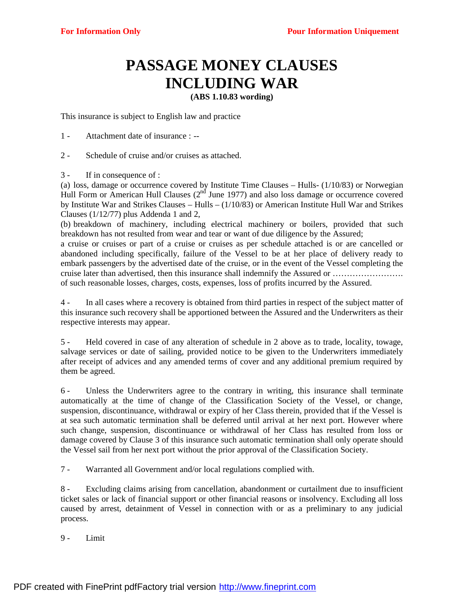## **PASSAGE MONEY CLAUSES INCLUDING WAR**

**(ABS 1.10.83 wording)**

This insurance is subject to English law and practice

- 1 Attachment date of insurance : --
- 2 Schedule of cruise and/or cruises as attached.
- 3 If in consequence of :

(a) loss, damage or occurrence covered by Institute Time Clauses – Hulls- (1/10/83) or Norwegian Hull Form or American Hull Clauses  $(2<sup>nd</sup>$  June 1977) and also loss damage or occurrence covered by Institute War and Strikes Clauses – Hulls – (1/10/83) or American Institute Hull War and Strikes Clauses (1/12/77) plus Addenda 1 and 2,

(b) breakdown of machinery, including electrical machinery or boilers, provided that such breakdown has not resulted from wear and tear or want of due diligence by the Assured;

a cruise or cruises or part of a cruise or cruises as per schedule attached is or are cancelled or abandoned including specifically, failure of the Vessel to be at her place of delivery ready to embark passengers by the advertised date of the cruise, or in the event of the Vessel completing the cruise later than advertised, then this insurance shall indemnify the Assured or ……………………. of such reasonable losses, charges, costs, expenses, loss of profits incurred by the Assured.

4 - In all cases where a recovery is obtained from third parties in respect of the subject matter of this insurance such recovery shall be apportioned between the Assured and the Underwriters as their respective interests may appear.

5 - Held covered in case of any alteration of schedule in 2 above as to trade, locality, towage, salvage services or date of sailing, provided notice to be given to the Underwriters immediately after receipt of advices and any amended terms of cover and any additional premium required by them be agreed.

6 - Unless the Underwriters agree to the contrary in writing, this insurance shall terminate automatically at the time of change of the Classification Society of the Vessel, or change, suspension, discontinuance, withdrawal or expiry of her Class therein, provided that if the Vessel is at sea such automatic termination shall be deferred until arrival at her next port. However where such change, suspension, discontinuance or withdrawal of her Class has resulted from loss or damage covered by Clause 3 of this insurance such automatic termination shall only operate should the Vessel sail from her next port without the prior approval of the Classification Society.

7 - Warranted all Government and/or local regulations complied with.

8 - Excluding claims arising from cancellation, abandonment or curtailment due to insufficient ticket sales or lack of financial support or other financial reasons or insolvency. Excluding all loss caused by arrest, detainment of Vessel in connection with or as a preliminary to any judicial process.

9 - Limit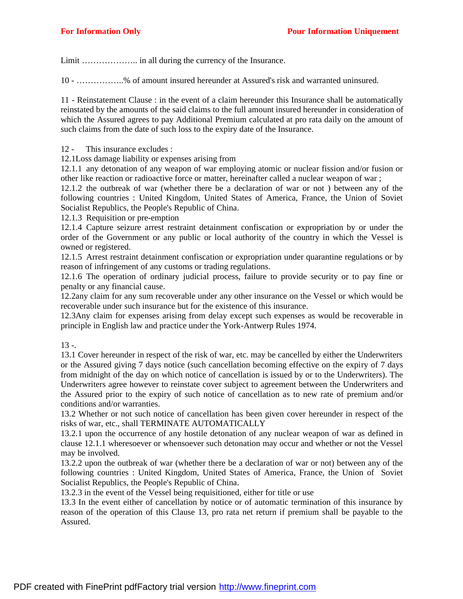Limit ……………….. in all during the currency of the Insurance.

10 - ……………..% of amount insured hereunder at Assured's risk and warranted uninsured.

11 - Reinstatement Clause : in the event of a claim hereunder this Insurance shall be automatically reinstated by the amounts of the said claims to the full amount insured hereunder in consideration of which the Assured agrees to pay Additional Premium calculated at pro rata daily on the amount of such claims from the date of such loss to the expiry date of the Insurance.

12 - This insurance excludes :

12.1Loss damage liability or expenses arising from

12.1.1 any detonation of any weapon of war employing atomic or nuclear fission and/or fusion or other like reaction or radioactive force or matter, hereinafter called a nuclear weapon of war ;

12.1.2 the outbreak of war (whether there be a declaration of war or not ) between any of the following countries : United Kingdom, United States of America, France, the Union of Soviet Socialist Republics, the People's Republic of China.

12.1.3 Requisition or pre-emption

12.1.4 Capture seizure arrest restraint detainment confiscation or expropriation by or under the order of the Government or any public or local authority of the country in which the Vessel is owned or registered.

12.1.5 Arrest restraint detainment confiscation or expropriation under quarantine regulations or by reason of infringement of any customs or trading regulations.

12.1.6 The operation of ordinary judicial process, failure to provide security or to pay fine or penalty or any financial cause.

12.2any claim for any sum recoverable under any other insurance on the Vessel or which would be recoverable under such insurance but for the existence of this insurance.

12.3Any claim for expenses arising from delay except such expenses as would be recoverable in principle in English law and practice under the York-Antwerp Rules 1974.

 $13 -$ 

13.1 Cover hereunder in respect of the risk of war, etc. may be cancelled by either the Underwriters or the Assured giving 7 days notice (such cancellation becoming effective on the expiry of 7 days from midnight of the day on which notice of cancellation is issued by or to the Underwriters). The Underwriters agree however to reinstate cover subject to agreement between the Underwriters and the Assured prior to the expiry of such notice of cancellation as to new rate of premium and/or conditions and/or warranties.

13.2 Whether or not such notice of cancellation has been given cover hereunder in respect of the risks of war, etc., shall TERMINATE AUTOMATICALLY

13.2.1 upon the occurrence of any hostile detonation of any nuclear weapon of war as defined in clause 12.1.1 wheresoever or whensoever such detonation may occur and whether or not the Vessel may be involved.

13.2.2 upon the outbreak of war (whether there be a declaration of war or not) between any of the following countries : United Kingdom, United States of America, France, the Union of Soviet Socialist Republics, the People's Republic of China.

13.2.3 in the event of the Vessel being requisitioned, either for title or use

13.3 In the event either of cancellation by notice or of automatic termination of this insurance by reason of the operation of this Clause 13, pro rata net return if premium shall be payable to the Assured.